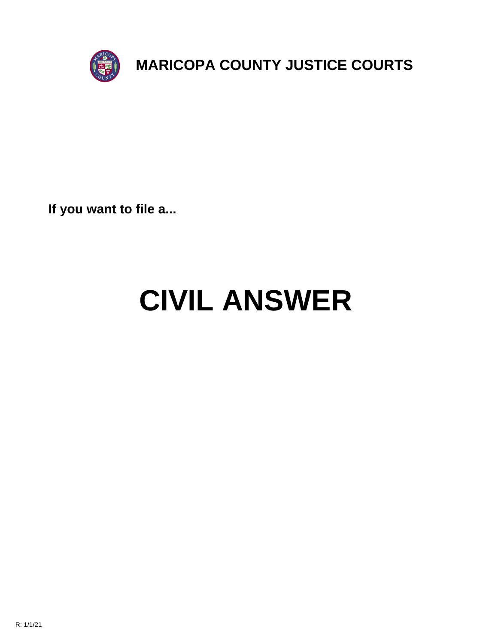

**If you want to file a...**

# **CIVIL ANSWER**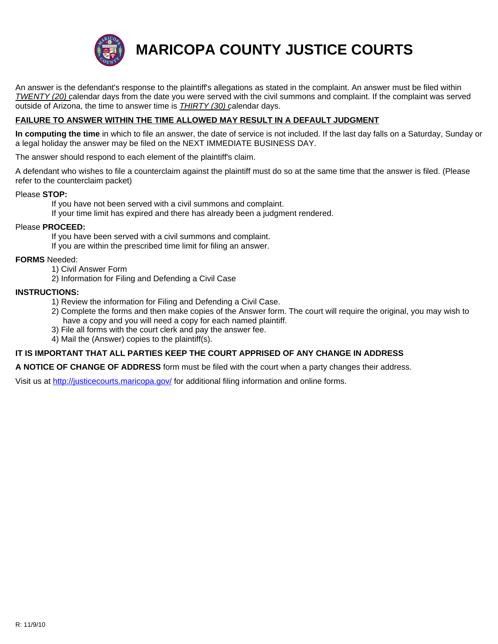

**MARICOPA COUNTY JUSTICE COURTS**

An answer is the defendant's response to the plaintiff's allegations as stated in the complaint. An answer must be filed within *TWENTY (20)* calendar days from the date you were served with the civil summons and complaint. If the complaint was served outside of Arizona, the time to answer time is *THIRTY (30)* calendar days.

#### **FAILURE TO ANSWER WITHIN THE TIME ALLOWED MAY RESULT IN A DEFAULT JUDGMENT**

**In computing the time** in which to file an answer, the date of service is not included. If the last day falls on a Saturday, Sunday or a legal holiday the answer may be filed on the NEXT IMMEDIATE BUSINESS DAY.

The answer should respond to each element of the plaintiff's claim.

A defendant who wishes to file a counterclaim against the plaintiff must do so at the same time that the answer is filed. (Please refer to the counterclaim packet)

#### Please **STOP:**

If you have not been served with a civil summons and complaint. If your time limit has expired and there has already been a judgment rendered.

#### Please **PROCEED:**

If you have been served with a civil summons and complaint. If you are within the prescribed time limit for filing an answer.

#### **FORMS** Needed:

- 1) Civil Answer Form
- 2) Information for Filing and Defending a Civil Case

#### **INSTRUC[TIONS:](http://justicecourts.maricopa.gov/)**

- 1) Review the information for Filing and Defending a Civil Case.
- 2) Complete the forms and then make copies of the Answer form. The court will require the original, you may wish to have a copy and you will need a copy for each named plaintiff.
- 3) File all forms with the court clerk and pay the answer fee.
- 4) Mail the (Answer) copies to the plaintiff(s).

#### **IT IS IMPORTANT THAT ALL PARTIES KEEP THE COURT APPRISED OF ANY CHANGE IN ADDRESS**

**A NOTICE OF CHANGE OF ADDRESS** form must be filed with the court when a party changes their address.

Visit us at http://justicecourts.maricopa.gov/ for additional filing information and online forms.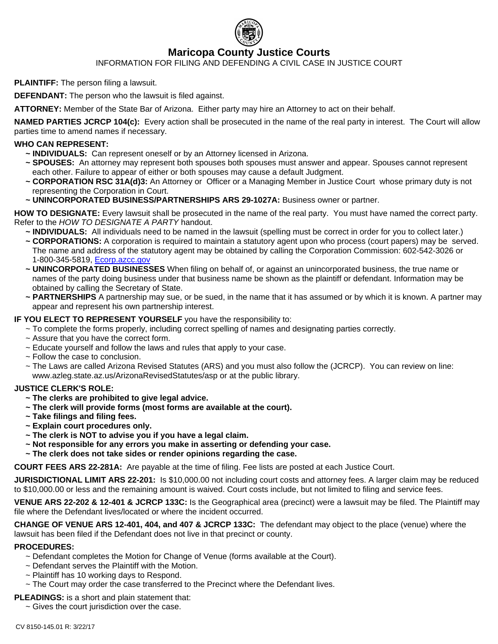

## **Maricopa County Justice Courts**

INFORMATION FOR FILING AND DEFENDING A CIVIL CASE IN JUSTICE COURT

**PLAINTIFF:** The person filing a lawsuit.

**DEFENDANT:** The person who the lawsuit is filed against.

**ATTORNEY:** Member of the State Bar of Arizona. Either party may hire an Attorney to act on their behalf.

**NAMED PARTIES JCRCP 104(c):** Every action shall be prosecuted in the name of the real party in interest. The Court will allow parties time to amend names if necessary.

#### **WHO CAN REPRESENT:**

- **~ INDIVIDUALS:** Can represent oneself or by an Attorney licensed in Arizona.
- **~ SPOUSES:** An attorney may represent both spouses both spouses must answer and appear. Spouses cannot represent each other. Failure to appear of either or both spouses may cause a default Judgment.
- **~ CORPORATION RSC 31A(d)3:** An Attorney or Officer or a Managing Member in Justice Court whose primary duty is not representing the Corporation in Court.
- **~ UNINCORPORATED BUSINESS/PARTNERSHIPS ARS 29-1027A:** Business owner or partner.

**HOW TO DESIGNATE:** Every lawsuit shall be prosecuted in the name of the real party. You must have named the correct party. Refer to the *HOW TO DESIGNATE A PARTY* handout.

- **~ INDIVIDUALS:** All individuals need to be named in the lawsuit (spelling must be correct in order for you to collect later.)
- **~ CORPORATIONS:** A corporation is required to maintain a statutory agent upon who process (court papers) may be served. The name and address of the statutory agent may be obtained by calling the Corporation Commission: 602-542-3026 or 1-800-345-5819, Ecorp.azcc.gov
- **~ UNINCORPORATED BUSINESSES** When filing on behalf of, or against an unincorporated business, the true name or names of the party doing business under that business name be shown as the plaintiff or defendant. Information may be obtained by calling the Secretary of State.
- **~ PARTNERSHIPS** A partnership may sue, or be sued, in the name that it has assumed or by which it is known. A partner may appear and represent his own partnership interest.

#### **IF YOU ELECT TO REPRESENT YOURSELF** you have the responsibility to:

- ~ To complete the forms properly, including correct spelling of names and designating parties correctly.
- $\sim$  Assure that you have the correct form.
- ~ Educate yourself and follow the laws and rules that apply to your case.
- ~ Follow the case to conclusion.
- ~ The Laws are called Arizona Revised Statutes (ARS) and you must also follow the (JCRCP). You can review on line: www.azleg.state.az.us/ArizonaRevisedStatutes/asp or at the public library.

#### **JUSTICE CLERK'S ROLE:**

- **~ The clerks are prohibited to give legal advice.**
- **~ The clerk will provide forms (most forms are available at the court).**
- **~ Take filings and filing fees.**
- **~ Explain court procedures only.**
- **~ The clerk is NOT to advise you if you have a legal claim.**
- **~ Not responsible for any errors you make in asserting or defending your case.**
- **~ The clerk does not take sides or render opinions regarding the case.**

**COURT FEES ARS 22-281A:** Are payable at the time of filing. Fee lists are posted at each Justice Court.

**JURISDICTIONAL LIMIT ARS 22-201:** Is \$10,000.00 not including court costs and attorney fees. A larger claim may be reduced to \$10,000.00 or less and the remaining amount is waived. Court costs include, but not limited to filing and service fees.

**VENUE ARS 22-202 & 12-401 & JCRCP 133C:** Is the Geographical area (precinct) were a lawsuit may be filed. The Plaintiff may file where the Defendant lives/located or where the incident occurred.

**CHANGE OF VENUE ARS 12-401, 404, and 407 & JCRCP 133C:** The defendant may object to the place (venue) where the lawsuit has been filed if the Defendant does not live in that precinct or county.

#### **PROCEDURES:**

- ~ Defendant completes the Motion for Change of Venue (forms available at the Court).
- ~ Defendant serves the Plaintiff with the Motion.
- $\sim$  Plaintiff has 10 working days to Respond.
- $\sim$  The Court may order the case transferred to the Precinct where the Defendant lives.

#### **PLEADINGS:** is a short and plain statement that:

~ Gives the court jurisdiction over the case.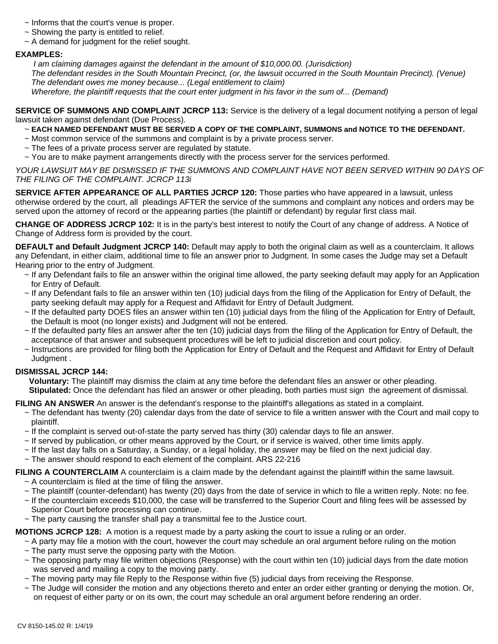- ~ Informs that the court's venue is proper.
- $\sim$  Showing the party is entitled to relief.
- $\sim$  A demand for judgment for the relief sought.

#### **EXAMPLES:**

 *I am claiming damages against the defendant in the amount of \$10,000.00. (Jurisdiction) The defendant resides in the South Mountain Precinct, (or, the lawsuit occurred in the South Mountain Precinct). (Venue) The defendant owes me money because... (Legal entitlement to claim) Wherefore, the plaintiff requests that the court enter judgment in his favor in the sum of... (Demand)*

**SERVICE OF SUMMONS AND COMPLAINT JCRCP 113:** Service is the delivery of a legal document notifying a person of legal lawsuit taken against defendant (Due Process).

#### ~ **EACH NAMED DEFENDANT MUST BE SERVED A COPY OF THE COMPLAINT, SUMMONS and NOTICE TO THE DEFENDANT.**

- ~ Most common service of the summons and complaint is by a private process server.
- $\sim$  The fees of a private process server are regulated by statute.
- ~ You are to make payment arrangements directly with the process server for the services performed.

*YOUR LAWSUIT MAY BE DISMISSED IF THE SUMMONS AND COMPLAINT HAVE NOT BEEN SERVED WITHIN 90 DAYS OF THE FILING OF THE COMPLAINT. JCRCP 113i*

**SERVICE AFTER APPEARANCE OF ALL PARTIES JCRCP 120:** Those parties who have appeared in a lawsuit, unless otherwise ordered by the court, all pleadings AFTER the service of the summons and complaint any notices and orders may be served upon the attorney of record or the appearing parties (the plaintiff or defendant) by regular first class mail.

**CHANGE OF ADDRESS JCRCP 102:** It is in the party's best interest to notify the Court of any change of address. A Notice of Change of Address form is provided by the court.

**DEFAULT and Default Judgment JCRCP 140:** Default may apply to both the original claim as well as a counterclaim. It allows any Defendant, in either claim, additional time to file an answer prior to Judgment. In some cases the Judge may set a Default Hearing prior to the entry of Judgment.

- ~ If any Defendant fails to file an answer within the original time allowed, the party seeking default may apply for an Application for Entry of Default.
- ~ If any Defendant fails to file an answer within ten (10) judicial days from the filing of the Application for Entry of Default, the party seeking default may apply for a Request and Affidavit for Entry of Default Judgment.
- ~ If the defaulted party DOES files an answer within ten (10) judicial days from the filing of the Application for Entry of Default, the Default is moot (no longer exists) and Judgment will not be entered.
- ~ If the defaulted party files an answer after the ten (10) judicial days from the filing of the Application for Entry of Default, the acceptance of that answer and subsequent procedures will be left to judicial discretion and court policy.
- ~ Instructions are provided for filing both the Application for Entry of Default and the Request and Affidavit for Entry of Default Judgment .

#### **DISMISSAL JCRCP 144:**

 **Voluntary:** The plaintiff may dismiss the claim at any time before the defendant files an answer or other pleading.  **Stipulated:** Once the defendant has filed an answer or other pleading, both parties must sign the agreement of dismissal.

**FILING AN ANSWER** An answer is the defendant's response to the plaintiff's allegations as stated in a complaint.

- ~ The defendant has twenty (20) calendar days from the date of service to file a written answer with the Court and mail copy to plaintiff.
- $\sim$  If the complaint is served out-of-state the party served has thirty (30) calendar days to file an answer.
- ~ If served by publication, or other means approved by the Court, or if service is waived, other time limits apply.
- $\sim$  If the last day falls on a Saturday, a Sunday, or a legal holiday, the answer may be filed on the next judicial day.
- ~ The answer should respond to each element of the complaint. ARS 22-216

#### **FILING A COUNTERCLAIM** A counterclaim is a claim made by the defendant against the plaintiff within the same lawsuit.

- $\sim$  A counterclaim is filed at the time of filing the answer.
- ~ The plaintiff (counter-defendant) has twenty (20) days from the date of service in which to file a written reply. Note: no fee.
- ~ If the counterclaim exceeds \$10,000, the case will be transferred to the Superior Court and filing fees will be assessed by Superior Court before processing can continue.
- ~ The party causing the transfer shall pay a transmittal fee to the Justice court.

**MOTIONS JCRCP 128:** A motion is a request made by a party asking the court to issue a ruling or an order.

~ A party may file a motion with the court, however the court may schedule an oral argument before ruling on the motion

- $\sim$  The party must serve the opposing party with the Motion.
- ~ The opposing party may file written objections (Response) with the court within ten (10) judicial days from the date motion was served and mailing a copy to the moving party.
- $\sim$  The moving party may file Reply to the Response within five (5) judicial days from receiving the Response.
- ~ The Judge will consider the motion and any objections thereto and enter an order either granting or denying the motion. Or, on request of either party or on its own, the court may schedule an oral argument before rendering an order.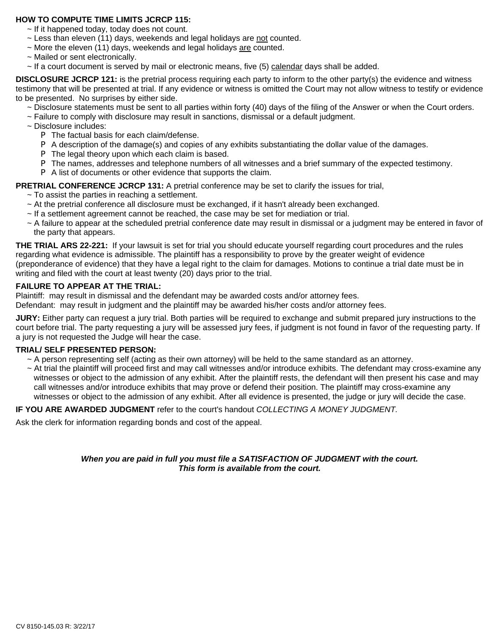#### **HOW TO COMPUTE TIME LIMITS JCRCP 115:**

- $\sim$  If it happened today, today does not count.
- ~ Less than eleven (11) days, weekends and legal holidays are not counted.
- ~ More the eleven (11) days, weekends and legal holidays are counted.
- ~ Mailed or sent electronically.
- ~ If a court document is served by mail or electronic means, five (5) calendar days shall be added.

**DISCLOSURE JCRCP 121:** is the pretrial process requiring each party to inform to the other party(s) the evidence and witness testimony that will be presented at trial. If any evidence or witness is omitted the Court may not allow witness to testify or evidence to be presented. No surprises by either side.

- ~ Disclosure statements must be sent to all parties within forty (40) days of the filing of the Answer or when the Court orders.
- ~ Failure to comply with disclosure may result in sanctions, dismissal or a default judgment.
- ~ Disclosure includes:
	- P The factual basis for each claim/defense.
	- P A description of the damage(s) and copies of any exhibits substantiating the dollar value of the damages.
	- P The legal theory upon which each claim is based.
	- P The names, addresses and telephone numbers of all witnesses and a brief summary of the expected testimony.
	- P A list of documents or other evidence that supports the claim.
- **PRETRIAL CONFERENCE JCRCP 131:** A pretrial conference may be set to clarify the issues for trial,

 $\sim$  To assist the parties in reaching a settlement.

- ~ At the pretrial conference all disclosure must be exchanged, if it hasn't already been exchanged.
- ~ If a settlement agreement cannot be reached, the case may be set for mediation or trial.
- ~ A failure to appear at the scheduled pretrial conference date may result in dismissal or a judgment may be entered in favor of the party that appears.

**THE TRIAL ARS 22-221:** If your lawsuit is set for trial you should educate yourself regarding court procedures and the rules regarding what evidence is admissible. The plaintiff has a responsibility to prove by the greater weight of evidence (preponderance of evidence) that they have a legal right to the claim for damages. Motions to continue a trial date must be in writing and filed with the court at least twenty (20) days prior to the trial.

#### **FAILURE TO APPEAR AT THE TRIAL:**

Plaintiff: may result in dismissal and the defendant may be awarded costs and/or attorney fees.

Defendant: may result in judgment and the plaintiff may be awarded his/her costs and/or attorney fees.

**JURY:** Either party can request a jury trial. Both parties will be required to exchange and submit prepared jury instructions to the court before trial. The party requesting a jury will be assessed jury fees, if judgment is not found in favor of the requesting party. If a jury is not requested the Judge will hear the case.

#### **TRIAL/ SELF PRESENTED PERSON:**

- ~ A person representing self (acting as their own attorney) will be held to the same standard as an attorney.
- ~ At trial the plaintiff will proceed first and may call witnesses and/or introduce exhibits. The defendant may cross-examine any witnesses or object to the admission of any exhibit. After the plaintiff rests, the defendant will then present his case and may call witnesses and/or introduce exhibits that may prove or defend their position. The plaintiff may cross-examine any witnesses or object to the admission of any exhibit. After all evidence is presented, the judge or jury will decide the case.

#### **IF YOU ARE AWARDED JUDGMENT** refer to the court's handout *COLLECTING A MONEY JUDGMENT.*

Ask the clerk for information regarding bonds and cost of the appeal.

#### *When you are paid in full you must file a SATISFACTION OF JUDGMENT with the court. This form is available from the court.*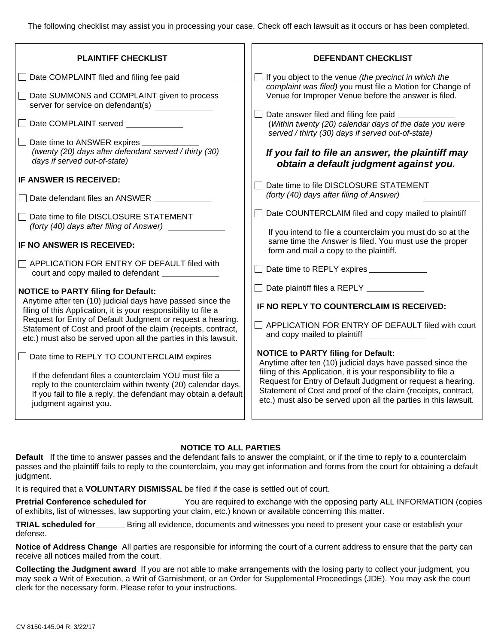The following checklist may assist you in processing your case. Check off each lawsuit as it occurs or has been completed.

| <b>PLAINTIFF CHECKLIST</b>                                                                                                                                                                                                                                                                                                                                                     | <b>DEFENDANT CHECKLIST</b>                                                                                                                                                                                                                                         |  |
|--------------------------------------------------------------------------------------------------------------------------------------------------------------------------------------------------------------------------------------------------------------------------------------------------------------------------------------------------------------------------------|--------------------------------------------------------------------------------------------------------------------------------------------------------------------------------------------------------------------------------------------------------------------|--|
| Date COMPLAINT filed and filing fee paid _________                                                                                                                                                                                                                                                                                                                             | If you object to the venue (the precinct in which the<br>complaint was filed) you must file a Motion for Change of                                                                                                                                                 |  |
| Date SUMMONS and COMPLAINT given to process<br>server for service on defendant(s)                                                                                                                                                                                                                                                                                              | Venue for Improper Venue before the answer is filed.                                                                                                                                                                                                               |  |
| Date COMPLAINT served _________                                                                                                                                                                                                                                                                                                                                                | Date answer filed and filing fee paid _____________<br>(Within twenty (20) calendar days of the date you were<br>served / thirty (30) days if served out-of-state)                                                                                                 |  |
| Date time to ANSWER expires __________<br>(twenty (20) days after defendant served / thirty (30)<br>days if served out-of-state)                                                                                                                                                                                                                                               | If you fail to file an answer, the plaintiff may<br>obtain a default judgment against you.                                                                                                                                                                         |  |
| IF ANSWER IS RECEIVED:<br>Date defendant files an ANSWER                                                                                                                                                                                                                                                                                                                       | Date time to file DISCLOSURE STATEMENT<br>(forty (40) days after filing of Answer)                                                                                                                                                                                 |  |
| Date time to file DISCLOSURE STATEMENT<br>(forty (40) days after filing of Answer)                                                                                                                                                                                                                                                                                             | Date COUNTERCLAIM filed and copy mailed to plaintiff                                                                                                                                                                                                               |  |
| IF NO ANSWER IS RECEIVED:                                                                                                                                                                                                                                                                                                                                                      | If you intend to file a counterclaim you must do so at the<br>same time the Answer is filed. You must use the proper<br>form and mail a copy to the plaintiff.                                                                                                     |  |
| APPLICATION FOR ENTRY OF DEFAULT filed with                                                                                                                                                                                                                                                                                                                                    | Date time to REPLY expires ______________                                                                                                                                                                                                                          |  |
| <b>NOTICE to PARTY filing for Default:</b><br>Anytime after ten (10) judicial days have passed since the<br>filing of this Application, it is your responsibility to file a<br>Request for Entry of Default Judgment or request a hearing.<br>Statement of Cost and proof of the claim (receipts, contract,<br>etc.) must also be served upon all the parties in this lawsuit. | Date plaintiff files a REPLY __________                                                                                                                                                                                                                            |  |
|                                                                                                                                                                                                                                                                                                                                                                                | IF NO REPLY TO COUNTERCLAIM IS RECEIVED:                                                                                                                                                                                                                           |  |
|                                                                                                                                                                                                                                                                                                                                                                                | APPLICATION FOR ENTRY OF DEFAULT filed with court<br>and copy mailed to plaintiff ____________                                                                                                                                                                     |  |
| Date time to REPLY TO COUNTERCLAIM expires                                                                                                                                                                                                                                                                                                                                     | <b>NOTICE to PARTY filing for Default:</b><br>Anytime after ten (10) judicial days have passed since the                                                                                                                                                           |  |
| If the defendant files a counterclaim YOU must file a<br>reply to the counterclaim within twenty (20) calendar days.<br>If you fail to file a reply, the defendant may obtain a default<br>judgment against you.                                                                                                                                                               | filing of this Application, it is your responsibility to file a<br>Request for Entry of Default Judgment or request a hearing.<br>Statement of Cost and proof of the claim (receipts, contract,<br>etc.) must also be served upon all the parties in this lawsuit. |  |
|                                                                                                                                                                                                                                                                                                                                                                                |                                                                                                                                                                                                                                                                    |  |

### **NOTICE TO ALL PARTIES**

**Default** If the time to answer passes and the defendant fails to answer the complaint, or if the time to reply to a counterclaim passes and the plaintiff fails to reply to the counterclaim, you may get information and forms from the court for obtaining a default judgment.

It is required that a **VOLUNTARY DISMISSAL** be filed if the case is settled out of court.

**Pretrial Conference scheduled for** You are required to exchange with the opposing party ALL INFORMATION (copies of exhibits, list of witnesses, law supporting your claim, etc.) known or available concerning this matter.

**TRIAL scheduled for** Bring all evidence, documents and witnesses you need to present your case or establish your defense.

**Notice of Address Change** All parties are responsible for informing the court of a current address to ensure that the party can receive all notices mailed from the court.

**Collecting the Judgment award** If you are not able to make arrangements with the losing party to collect your judgment, you may seek a Writ of Execution, a Writ of Garnishment, or an Order for Supplemental Proceedings (JDE). You may ask the court clerk for the necessary form. Please refer to your instructions.